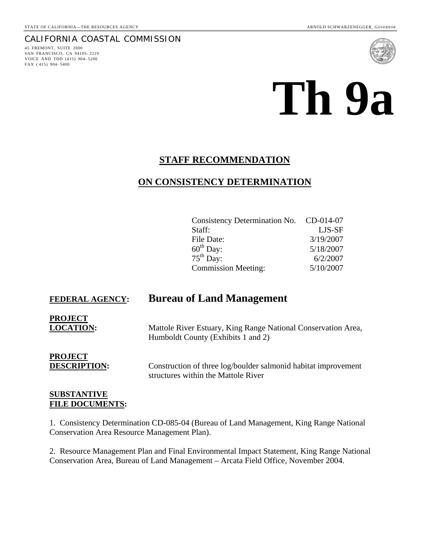#### CALIFORNIA COASTAL COMMISSION

45 FREMONT, SUITE 2000 SAN FRANCISCO, CA 94105- 2219 VOICE AND TDD (415) 904- 5200 FAX ( 415) 904- 5400



# **Th 9a**

#### **STAFF RECOMMENDATION**

#### **ON CONSISTENCY DETERMINATION**

| Consistency Determination No. CD-014-07 |           |
|-----------------------------------------|-----------|
| Staff:                                  | LJS-SF    |
| File Date:                              | 3/19/2007 |
| $60^{\text{th}}$ Day:                   | 5/18/2007 |
| $75^{\text{th}}$ Day:                   | 6/2/2007  |
| <b>Commission Meeting:</b>              | 5/10/2007 |

## **FEDERAL AGENCY: Bureau of Land Management**

**PROJECT**

**LOCATION:** Mattole River Estuary, King Range National Conservation Area, Humboldt County (Exhibits 1 and 2)

# **PROJECT**

**DESCRIPTION:** Construction of three log/boulder salmonid habitat improvement structures within the Mattole River

#### **SUBSTANTIVE FILE DOCUMENTS:**

1. Consistency Determination CD-085-04 (Bureau of Land Management, King Range National Conservation Area Resource Management Plan).

2. Resource Management Plan and Final Environmental Impact Statement, King Range National Conservation Area, Bureau of Land Management – Arcata Field Office, November 2004.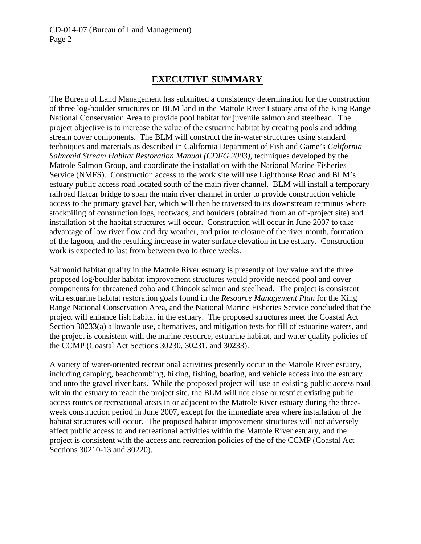### **EXECUTIVE SUMMARY**

The Bureau of Land Management has submitted a consistency determination for the construction of three log-boulder structures on BLM land in the Mattole River Estuary area of the King Range National Conservation Area to provide pool habitat for juvenile salmon and steelhead. The project objective is to increase the value of the estuarine habitat by creating pools and adding stream cover components. The BLM will construct the in-water structures using standard techniques and materials as described in California Department of Fish and Game's *California Salmonid Stream Habitat Restoration Manual (CDFG 2003)*, techniques developed by the Mattole Salmon Group, and coordinate the installation with the National Marine Fisheries Service (NMFS). Construction access to the work site will use Lighthouse Road and BLM's estuary public access road located south of the main river channel. BLM will install a temporary railroad flatcar bridge to span the main river channel in order to provide construction vehicle access to the primary gravel bar, which will then be traversed to its downstream terminus where stockpiling of construction logs, rootwads, and boulders (obtained from an off-project site) and installation of the habitat structures will occur. Construction will occur in June 2007 to take advantage of low river flow and dry weather, and prior to closure of the river mouth, formation of the lagoon, and the resulting increase in water surface elevation in the estuary. Construction work is expected to last from between two to three weeks.

Salmonid habitat quality in the Mattole River estuary is presently of low value and the three proposed log/boulder habitat improvement structures would provide needed pool and cover components for threatened coho and Chinook salmon and steelhead. The project is consistent with estuarine habitat restoration goals found in the *Resource Management Plan* for the King Range National Conservation Area, and the National Marine Fisheries Service concluded that the project will enhance fish habitat in the estuary. The proposed structures meet the Coastal Act Section 30233(a) allowable use, alternatives, and mitigation tests for fill of estuarine waters, and the project is consistent with the marine resource, estuarine habitat, and water quality policies of the CCMP (Coastal Act Sections 30230, 30231, and 30233).

A variety of water-oriented recreational activities presently occur in the Mattole River estuary, including camping, beachcombing, hiking, fishing, boating, and vehicle access into the estuary and onto the gravel river bars. While the proposed project will use an existing public access road within the estuary to reach the project site, the BLM will not close or restrict existing public access routes or recreational areas in or adjacent to the Mattole River estuary during the threeweek construction period in June 2007, except for the immediate area where installation of the habitat structures will occur. The proposed habitat improvement structures will not adversely affect public access to and recreational activities within the Mattole River estuary, and the project is consistent with the access and recreation policies of the of the CCMP (Coastal Act Sections 30210-13 and 30220).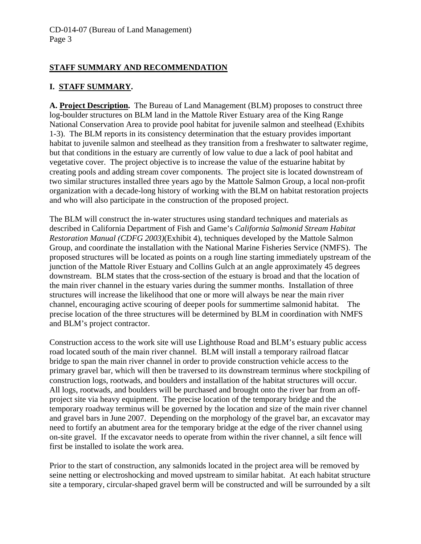#### **STAFF SUMMARY AND RECOMMENDATION**

#### **I. STAFF SUMMARY.**

**A. Project Description.** The Bureau of Land Management (BLM) proposes to construct three log-boulder structures on BLM land in the Mattole River Estuary area of the King Range National Conservation Area to provide pool habitat for juvenile salmon and steelhead (Exhibits 1-3). The BLM reports in its consistency determination that the estuary provides important habitat to juvenile salmon and steelhead as they transition from a freshwater to saltwater regime, but that conditions in the estuary are currently of low value to due a lack of pool habitat and vegetative cover. The project objective is to increase the value of the estuarine habitat by creating pools and adding stream cover components. The project site is located downstream of two similar structures installed three years ago by the Mattole Salmon Group, a local non-profit organization with a decade-long history of working with the BLM on habitat restoration projects and who will also participate in the construction of the proposed project.

The BLM will construct the in-water structures using standard techniques and materials as described in California Department of Fish and Game's *California Salmonid Stream Habitat Restoration Manual (CDFG 2003)*(Exhibit 4), techniques developed by the Mattole Salmon Group, and coordinate the installation with the National Marine Fisheries Service (NMFS). The proposed structures will be located as points on a rough line starting immediately upstream of the junction of the Mattole River Estuary and Collins Gulch at an angle approximately 45 degrees downstream. BLM states that the cross-section of the estuary is broad and that the location of the main river channel in the estuary varies during the summer months. Installation of three structures will increase the likelihood that one or more will always be near the main river channel, encouraging active scouring of deeper pools for summertime salmonid habitat. The precise location of the three structures will be determined by BLM in coordination with NMFS and BLM's project contractor.

Construction access to the work site will use Lighthouse Road and BLM's estuary public access road located south of the main river channel. BLM will install a temporary railroad flatcar bridge to span the main river channel in order to provide construction vehicle access to the primary gravel bar, which will then be traversed to its downstream terminus where stockpiling of construction logs, rootwads, and boulders and installation of the habitat structures will occur. All logs, rootwads, and boulders will be purchased and brought onto the river bar from an offproject site via heavy equipment. The precise location of the temporary bridge and the temporary roadway terminus will be governed by the location and size of the main river channel and gravel bars in June 2007. Depending on the morphology of the gravel bar, an excavator may need to fortify an abutment area for the temporary bridge at the edge of the river channel using on-site gravel. If the excavator needs to operate from within the river channel, a silt fence will first be installed to isolate the work area.

Prior to the start of construction, any salmonids located in the project area will be removed by seine netting or electroshocking and moved upstream to similar habitat. At each habitat structure site a temporary, circular-shaped gravel berm will be constructed and will be surrounded by a silt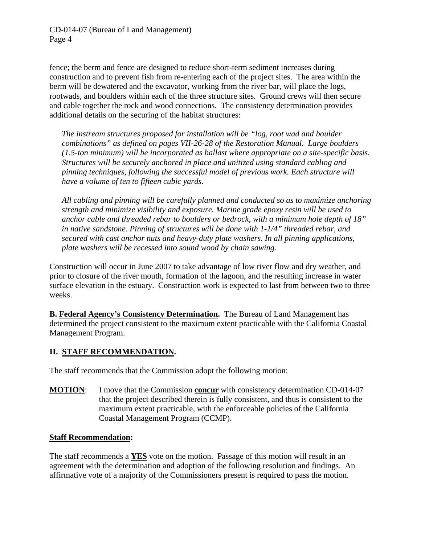fence; the berm and fence are designed to reduce short-term sediment increases during construction and to prevent fish from re-entering each of the project sites. The area within the berm will be dewatered and the excavator, working from the river bar, will place the logs, rootwads, and boulders within each of the three structure sites. Ground crews will then secure and cable together the rock and wood connections. The consistency determination provides additional details on the securing of the habitat structures:

*The instream structures proposed for installation will be "log, root wad and boulder combinations" as defined on pages VII-26-28 of the Restoration Manual. Large boulders (1.5-ton minimum) will be incorporated as ballast where appropriate on a site-specific basis. Structures will be securely anchored in place and unitized using standard cabling and pinning techniques, following the successful model of previous work. Each structure will have a volume of ten to fifteen cubic yards.* 

*All cabling and pinning will be carefully planned and conducted so as to maximize anchoring strength and minimize visibility and exposure. Marine grade epoxy resin will be used to anchor cable and threaded rebar to boulders or bedrock, with a minimum hole depth of 18" in native sandstone. Pinning of structures will be done with 1-1/4" threaded rebar, and secured with cast anchor nuts and heavy-duty plate washers. In all pinning applications, plate washers will be recessed into sound wood by chain sawing.* 

Construction will occur in June 2007 to take advantage of low river flow and dry weather, and prior to closure of the river mouth, formation of the lagoon, and the resulting increase in water surface elevation in the estuary. Construction work is expected to last from between two to three weeks.

**B. Federal Agency's Consistency Determination.** The Bureau of Land Management has determined the project consistent to the maximum extent practicable with the California Coastal Management Program.

#### **II. STAFF RECOMMENDATION.**

The staff recommends that the Commission adopt the following motion:

**MOTION**: I move that the Commission **concur** with consistency determination CD-014-07 that the project described therein is fully consistent, and thus is consistent to the maximum extent practicable, with the enforceable policies of the California Coastal Management Program (CCMP).

#### **Staff Recommendation:**

The staff recommends a **YES** vote on the motion. Passage of this motion will result in an agreement with the determination and adoption of the following resolution and findings. An affirmative vote of a majority of the Commissioners present is required to pass the motion.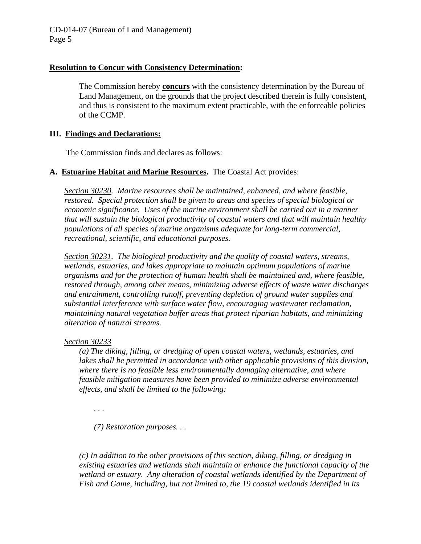#### **Resolution to Concur with Consistency Determination:**

The Commission hereby **concurs** with the consistency determination by the Bureau of Land Management, on the grounds that the project described therein is fully consistent, and thus is consistent to the maximum extent practicable, with the enforceable policies of the CCMP.

#### **III. Findings and Declarations:**

The Commission finds and declares as follows:

#### **A. Estuarine Habitat and Marine Resources.** The Coastal Act provides:

*Section 30230. Marine resources shall be maintained, enhanced, and where feasible, restored. Special protection shall be given to areas and species of special biological or economic significance. Uses of the marine environment shall be carried out in a manner that will sustain the biological productivity of coastal waters and that will maintain healthy populations of all species of marine organisms adequate for long-term commercial, recreational, scientific, and educational purposes.* 

*Section 30231. The biological productivity and the quality of coastal waters, streams, wetlands, estuaries, and lakes appropriate to maintain optimum populations of marine organisms and for the protection of human health shall be maintained and, where feasible, restored through, among other means, minimizing adverse effects of waste water discharges and entrainment, controlling runoff, preventing depletion of ground water supplies and substantial interference with surface water flow, encouraging wastewater reclamation, maintaining natural vegetation buffer areas that protect riparian habitats, and minimizing alteration of natural streams.* 

#### *Section 30233*

*(a) The diking, filling, or dredging of open coastal waters, wetlands, estuaries, and lakes shall be permitted in accordance with other applicable provisions of this division, where there is no feasible less environmentally damaging alternative, and where feasible mitigation measures have been provided to minimize adverse environmental effects, and shall be limited to the following:* 

*. . .* 

*(7) Restoration purposes. . .* 

*(c) In addition to the other provisions of this section, diking, filling, or dredging in existing estuaries and wetlands shall maintain or enhance the functional capacity of the wetland or estuary. Any alteration of coastal wetlands identified by the Department of Fish and Game, including, but not limited to, the 19 coastal wetlands identified in its*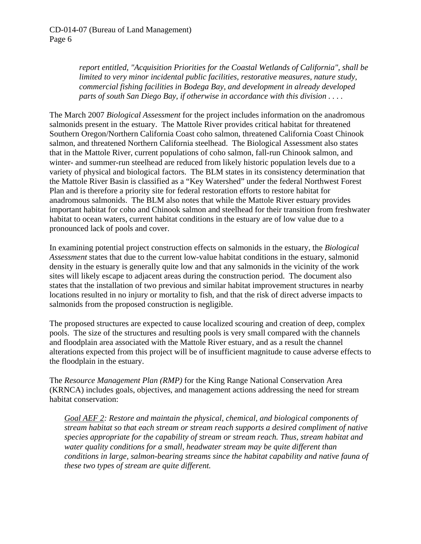*report entitled, "Acquisition Priorities for the Coastal Wetlands of California", shall be limited to very minor incidental public facilities, restorative measures, nature study, commercial fishing facilities in Bodega Bay, and development in already developed parts of south San Diego Bay, if otherwise in accordance with this division . . . .* 

The March 2007 *Biological Assessment* for the project includes information on the anadromous salmonids present in the estuary. The Mattole River provides critical habitat for threatened Southern Oregon/Northern California Coast coho salmon, threatened California Coast Chinook salmon, and threatened Northern California steelhead. The Biological Assessment also states that in the Mattole River, current populations of coho salmon, fall-run Chinook salmon, and winter- and summer-run steelhead are reduced from likely historic population levels due to a variety of physical and biological factors. The BLM states in its consistency determination that the Mattole River Basin is classified as a "Key Watershed" under the federal Northwest Forest Plan and is therefore a priority site for federal restoration efforts to restore habitat for anadromous salmonids. The BLM also notes that while the Mattole River estuary provides important habitat for coho and Chinook salmon and steelhead for their transition from freshwater habitat to ocean waters, current habitat conditions in the estuary are of low value due to a pronounced lack of pools and cover.

In examining potential project construction effects on salmonids in the estuary, the *Biological Assessment* states that due to the current low-value habitat conditions in the estuary, salmonid density in the estuary is generally quite low and that any salmonids in the vicinity of the work sites will likely escape to adjacent areas during the construction period. The document also states that the installation of two previous and similar habitat improvement structures in nearby locations resulted in no injury or mortality to fish, and that the risk of direct adverse impacts to salmonids from the proposed construction is negligible.

The proposed structures are expected to cause localized scouring and creation of deep, complex pools. The size of the structures and resulting pools is very small compared with the channels and floodplain area associated with the Mattole River estuary, and as a result the channel alterations expected from this project will be of insufficient magnitude to cause adverse effects to the floodplain in the estuary.

The *Resource Management Plan (RMP)* for the King Range National Conservation Area (KRNCA) includes goals, objectives, and management actions addressing the need for stream habitat conservation:

*Goal AEF 2: Restore and maintain the physical, chemical, and biological components of stream habitat so that each stream or stream reach supports a desired compliment of native species appropriate for the capability of stream or stream reach. Thus, stream habitat and water quality conditions for a small, headwater stream may be quite different than conditions in large, salmon-bearing streams since the habitat capability and native fauna of these two types of stream are quite different.*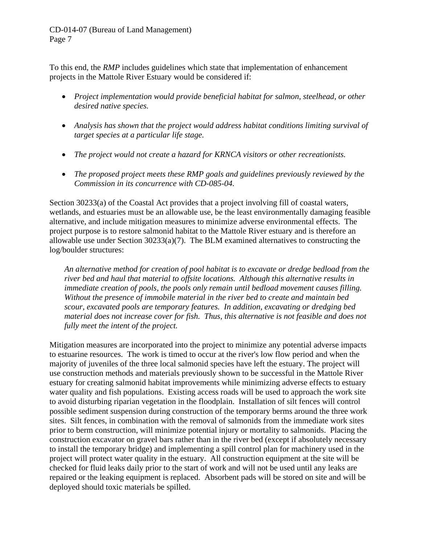To this end, the *RMP* includes guidelines which state that implementation of enhancement projects in the Mattole River Estuary would be considered if:

- *Project implementation would provide beneficial habitat for salmon, steelhead, or other desired native species.*
- *Analysis has shown that the project would address habitat conditions limiting survival of target species at a particular life stage.*
- *The project would not create a hazard for KRNCA visitors or other recreationists.*
- *The proposed project meets these RMP goals and guidelines previously reviewed by the Commission in its concurrence with CD-085-04.*

Section 30233(a) of the Coastal Act provides that a project involving fill of coastal waters, wetlands, and estuaries must be an allowable use, be the least environmentally damaging feasible alternative, and include mitigation measures to minimize adverse environmental effects. The project purpose is to restore salmonid habitat to the Mattole River estuary and is therefore an allowable use under Section 30233(a)(7). The BLM examined alternatives to constructing the log/boulder structures:

*An alternative method for creation of pool habitat is to excavate or dredge bedload from the river bed and haul that material to offsite locations. Although this alternative results in immediate creation of pools, the pools only remain until bedload movement causes filling. Without the presence of immobile material in the river bed to create and maintain bed scour, excavated pools are temporary features. In addition, excavating or dredging bed material does not increase cover for fish. Thus, this alternative is not feasible and does not fully meet the intent of the project.* 

Mitigation measures are incorporated into the project to minimize any potential adverse impacts to estuarine resources. The work is timed to occur at the river's low flow period and when the majority of juveniles of the three local salmonid species have left the estuary. The project will use construction methods and materials previously shown to be successful in the Mattole River estuary for creating salmonid habitat improvements while minimizing adverse effects to estuary water quality and fish populations. Existing access roads will be used to approach the work site to avoid disturbing riparian vegetation in the floodplain. Installation of silt fences will control possible sediment suspension during construction of the temporary berms around the three work sites. Silt fences, in combination with the removal of salmonids from the immediate work sites prior to berm construction, will minimize potential injury or mortality to salmonids. Placing the construction excavator on gravel bars rather than in the river bed (except if absolutely necessary to install the temporary bridge) and implementing a spill control plan for machinery used in the project will protect water quality in the estuary. All construction equipment at the site will be checked for fluid leaks daily prior to the start of work and will not be used until any leaks are repaired or the leaking equipment is replaced. Absorbent pads will be stored on site and will be deployed should toxic materials be spilled.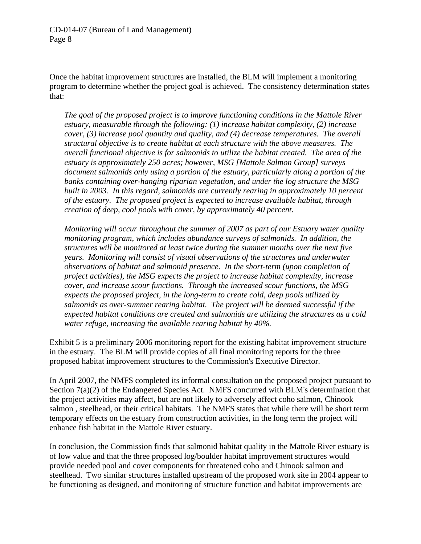Once the habitat improvement structures are installed, the BLM will implement a monitoring program to determine whether the project goal is achieved. The consistency determination states that:

*The goal of the proposed project is to improve functioning conditions in the Mattole River estuary, measurable through the following: (1) increase habitat complexity, (2) increase cover, (3) increase pool quantity and quality, and (4) decrease temperatures. The overall structural objective is to create habitat at each structure with the above measures. The overall functional objective is for salmonids to utilize the habitat created. The area of the estuary is approximately 250 acres; however, MSG [Mattole Salmon Group] surveys document salmonids only using a portion of the estuary, particularly along a portion of the banks containing over-hanging riparian vegetation, and under the log structure the MSG built in 2003. In this regard, salmonids are currently rearing in approximately 10 percent of the estuary. The proposed project is expected to increase available habitat, through creation of deep, cool pools with cover, by approximately 40 percent.* 

*Monitoring will occur throughout the summer of 2007 as part of our Estuary water quality monitoring program, which includes abundance surveys of salmonids. In addition, the structures will be monitored at least twice during the summer months over the next five years. Monitoring will consist of visual observations of the structures and underwater observations of habitat and salmonid presence. In the short-term (upon completion of project activities), the MSG expects the project to increase habitat complexity, increase cover, and increase scour functions. Through the increased scour functions, the MSG expects the proposed project, in the long-term to create cold, deep pools utilized by salmonids as over-summer rearing habitat. The project will be deemed successful if the expected habitat conditions are created and salmonids are utilizing the structures as a cold water refuge, increasing the available rearing habitat by 40%.* 

Exhibit 5 is a preliminary 2006 monitoring report for the existing habitat improvement structure in the estuary. The BLM will provide copies of all final monitoring reports for the three proposed habitat improvement structures to the Commission's Executive Director.

In April 2007, the NMFS completed its informal consultation on the proposed project pursuant to Section 7(a)(2) of the Endangered Species Act. NMFS concurred with BLM's determination that the project activities may affect, but are not likely to adversely affect coho salmon, Chinook salmon , steelhead, or their critical habitats. The NMFS states that while there will be short term temporary effects on the estuary from construction activities, in the long term the project will enhance fish habitat in the Mattole River estuary.

In conclusion, the Commission finds that salmonid habitat quality in the Mattole River estuary is of low value and that the three proposed log/boulder habitat improvement structures would provide needed pool and cover components for threatened coho and Chinook salmon and steelhead. Two similar structures installed upstream of the proposed work site in 2004 appear to be functioning as designed, and monitoring of structure function and habitat improvements are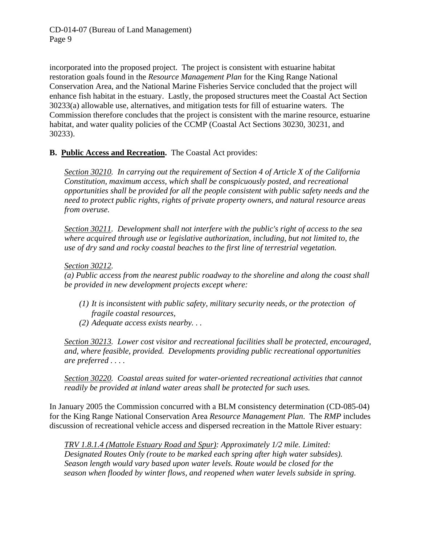incorporated into the proposed project. The project is consistent with estuarine habitat restoration goals found in the *Resource Management Plan* for the King Range National Conservation Area, and the National Marine Fisheries Service concluded that the project will enhance fish habitat in the estuary. Lastly, the proposed structures meet the Coastal Act Section 30233(a) allowable use, alternatives, and mitigation tests for fill of estuarine waters. The Commission therefore concludes that the project is consistent with the marine resource, estuarine habitat, and water quality policies of the CCMP (Coastal Act Sections 30230, 30231, and 30233).

#### **B. Public Access and Recreation.** The Coastal Act provides:

*Section 30210. In carrying out the requirement of Section 4 of Article X of the California Constitution, maximum access, which shall be conspicuously posted, and recreational opportunities shall be provided for all the people consistent with public safety needs and the need to protect public rights, rights of private property owners, and natural resource areas from overuse.* 

*Section 30211. Development shall not interfere with the public's right of access to the sea where acquired through use or legislative authorization, including, but not limited to, the use of dry sand and rocky coastal beaches to the first line of terrestrial vegetation.* 

#### *Section 30212.*

*(a) Public access from the nearest public roadway to the shoreline and along the coast shall be provided in new development projects except where:* 

- *(1) It is inconsistent with public safety, military security needs, or the protection of fragile coastal resources,*
- *(2) Adequate access exists nearby. . .*

*Section 30213. Lower cost visitor and recreational facilities shall be protected, encouraged, and, where feasible, provided. Developments providing public recreational opportunities are preferred . . . .* 

*Section 30220. Coastal areas suited for water-oriented recreational activities that cannot readily be provided at inland water areas shall be protected for such uses.* 

In January 2005 the Commission concurred with a BLM consistency determination (CD-085-04) for the King Range National Conservation Area *Resource Management Plan*. The *RMP* includes discussion of recreational vehicle access and dispersed recreation in the Mattole River estuary:

*TRV 1.8.1.4 (Mattole Estuary Road and Spur): Approximately 1/2 mile. Limited: Designated Routes Only (route to be marked each spring after high water subsides). Season length would vary based upon water levels. Route would be closed for the season when flooded by winter flows, and reopened when water levels subside in spring.*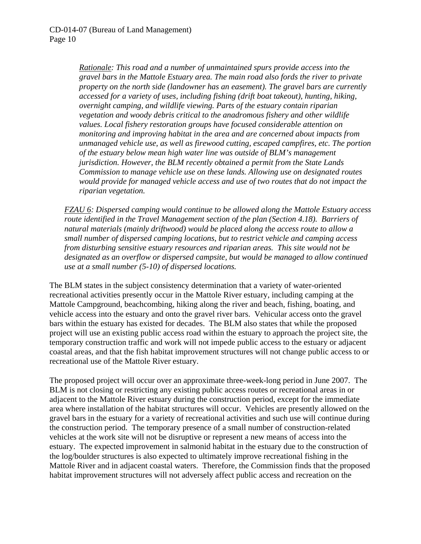*Rationale: This road and a number of unmaintained spurs provide access into the gravel bars in the Mattole Estuary area. The main road also fords the river to private property on the north side (landowner has an easement). The gravel bars are currently accessed for a variety of uses, including fishing (drift boat takeout), hunting, hiking, overnight camping, and wildlife viewing. Parts of the estuary contain riparian vegetation and woody debris critical to the anadromous fishery and other wildlife values. Local fishery restoration groups have focused considerable attention on monitoring and improving habitat in the area and are concerned about impacts from unmanaged vehicle use, as well as firewood cutting, escaped campfires, etc. The portion of the estuary below mean high water line was outside of BLM's management jurisdiction. However, the BLM recently obtained a permit from the State Lands Commission to manage vehicle use on these lands. Allowing use on designated routes would provide for managed vehicle access and use of two routes that do not impact the riparian vegetation.* 

*FZAU 6: Dispersed camping would continue to be allowed along the Mattole Estuary access route identified in the Travel Management section of the plan (Section 4.18). Barriers of natural materials (mainly driftwood) would be placed along the access route to allow a small number of dispersed camping locations, but to restrict vehicle and camping access from disturbing sensitive estuary resources and riparian areas. This site would not be designated as an overflow or dispersed campsite, but would be managed to allow continued use at a small number (5-10) of dispersed locations.* 

The BLM states in the subject consistency determination that a variety of water-oriented recreational activities presently occur in the Mattole River estuary, including camping at the Mattole Campground, beachcombing, hiking along the river and beach, fishing, boating, and vehicle access into the estuary and onto the gravel river bars. Vehicular access onto the gravel bars within the estuary has existed for decades. The BLM also states that while the proposed project will use an existing public access road within the estuary to approach the project site, the temporary construction traffic and work will not impede public access to the estuary or adjacent coastal areas, and that the fish habitat improvement structures will not change public access to or recreational use of the Mattole River estuary.

The proposed project will occur over an approximate three-week-long period in June 2007. The BLM is not closing or restricting any existing public access routes or recreational areas in or adjacent to the Mattole River estuary during the construction period, except for the immediate area where installation of the habitat structures will occur. Vehicles are presently allowed on the gravel bars in the estuary for a variety of recreational activities and such use will continue during the construction period. The temporary presence of a small number of construction-related vehicles at the work site will not be disruptive or represent a new means of access into the estuary. The expected improvement in salmonid habitat in the estuary due to the construction of the log/boulder structures is also expected to ultimately improve recreational fishing in the Mattole River and in adjacent coastal waters. Therefore, the Commission finds that the proposed habitat improvement structures will not adversely affect public access and recreation on the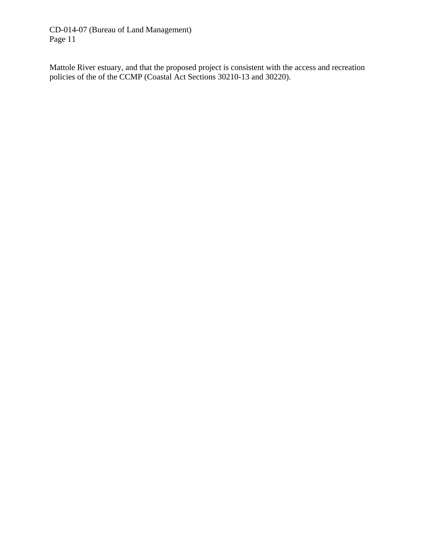Mattole River estuary, and that the proposed project is consistent with the access and recreation policies of the of the CCMP (Coastal Act Sections 30210-13 and 30220).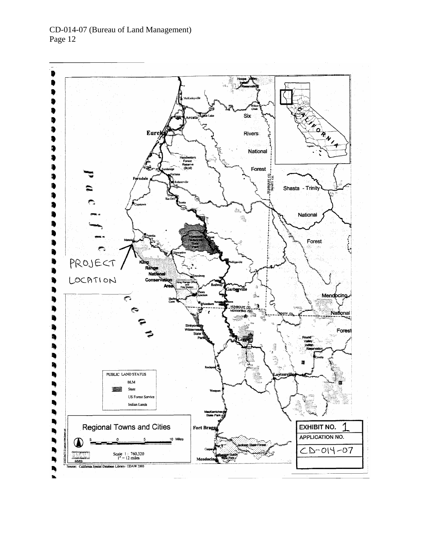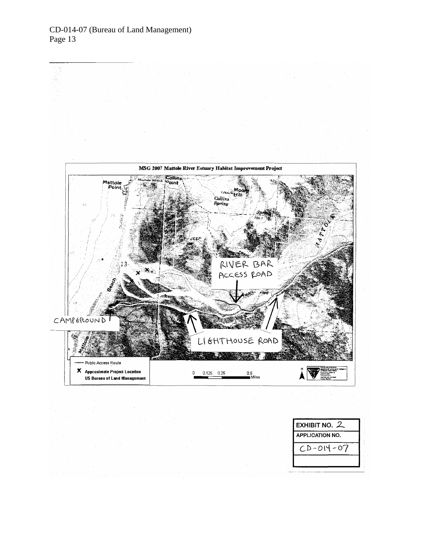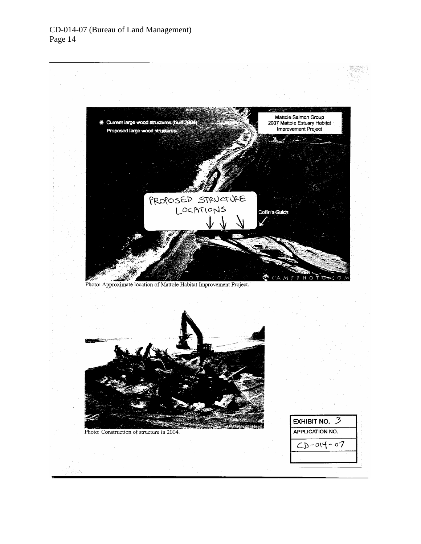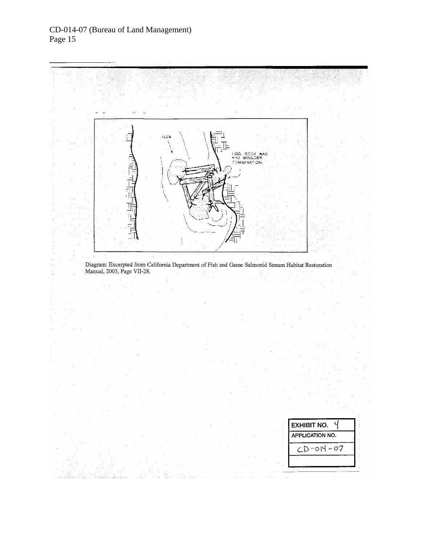